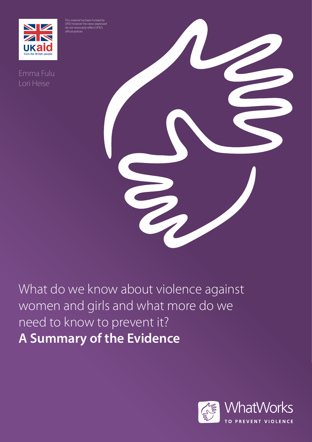



**NIZ** 

Lori Heise

What do we know about violence against women and girls and what more do we need to know to prevent it? **A Summary of the Evidence**

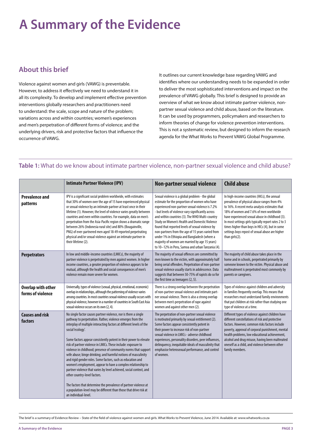# **A Summary of the Evidence**

## **About this brief**

Violence against women and girls (VAWG) is preventable. However, to address it effectively we need to understand it in all its complexity. To develop and implement effective prevention interventions globally researchers and practitioners need to understand: the scale, scope and nature of the problem; variations across and within countries; women's experiences and men's perpetration of different forms of violence; and the underlying drivers, risk and protective factors that influence the occurrence of VAWG.

It outlines our current knowledge base regarding VAWG and identifies where our understanding needs to be expanded in order to deliver the most sophisticated interventions and impact on the prevalence of VAWG globally. This brief is designed to provide an overview of what we know about intimate partner violence, nonpartner sexual violence and child abuse, based on the literature. It can be used by programmers, policymakers and researchers to inform theories of change for violence prevention interventions. This is not a systematic review, but designed to inform the research agenda for the What Works to Prevent VAWG Global Programme.

#### **Table 1:** What do we know about intimate partner violence, non-partner sexual violence and child abuse?

|                                                | <b>Intimate Partner Violence (IPV)</b>                                                                                                                                                                                                                                                                                                                                                                                                                                                                                                                                                                                                                                                                                                                                                                                                                                                                       | <b>Non-partner sexual violence</b>                                                                                                                                                                                                                                                                                                                                                                                                                                                                                                                                            | <b>Child abuse</b>                                                                                                                                                                                                                                                                                                                                                                                                       |
|------------------------------------------------|--------------------------------------------------------------------------------------------------------------------------------------------------------------------------------------------------------------------------------------------------------------------------------------------------------------------------------------------------------------------------------------------------------------------------------------------------------------------------------------------------------------------------------------------------------------------------------------------------------------------------------------------------------------------------------------------------------------------------------------------------------------------------------------------------------------------------------------------------------------------------------------------------------------|-------------------------------------------------------------------------------------------------------------------------------------------------------------------------------------------------------------------------------------------------------------------------------------------------------------------------------------------------------------------------------------------------------------------------------------------------------------------------------------------------------------------------------------------------------------------------------|--------------------------------------------------------------------------------------------------------------------------------------------------------------------------------------------------------------------------------------------------------------------------------------------------------------------------------------------------------------------------------------------------------------------------|
| <b>Prevalence and</b><br>patterns              | IPV is a significant social problem worldwide, with estimates<br>that 30% of women over the age of 15 have experienced physical<br>or sexual violence by an intimate partner at least once in their<br>lifetime (1). However, the level of violence varies greatly between<br>countries and even within countries. For example, data on men's<br>perpetration from the Asia-Pacific region shows a dramatic range<br>between 26% (Indonesia rural site) and 80% (Bougainville,<br>PNG) of ever-partnered men aged 18-49 reported perpetrating<br>physical and/or sexual violence against an intimate partner in<br>their lifetime (2).                                                                                                                                                                                                                                                                       | Sexual violence is a global problem - the global<br>estimate for the proportion of women who have<br>experienced non-partner sexual violence is 7.2%<br>- but levels of violence vary significantly across<br>and within countries (3). The WHO Multi-country<br>Study on Women's Health and Domestic Violence<br>found that reported levels of sexual violence by<br>non-partners from the age of 15 years varied from<br>under 1% in Ethiopia and Bangladesh (where a<br>majority of women are married by age 15 years)<br>to 10-12% in Peru, Samoa and urban Tanzania (4). | In high-income countries (HICs), the annual<br>prevalence of physical abuse ranges from 4%<br>to 16%. A recent meta-analysis estimates that<br>18% of women and 7.6% of men worldwide<br>have experienced sexual abuse in childhood (3).<br>In most settings girls typically report rates 2 to 3<br>times higher than boys in HICs (4), but in some<br>settings boys repost of sexual abuse are higher<br>than girls(2). |
| <b>Perpetrators</b>                            | In low and middle-income countries (LMICs), the majority of<br>partner violence is perpetrated by men against women. In higher<br>income countries, a greater proportion of violence appears to be<br>mutual, although the health and social consequences of men's<br>violence remain more severe for women.                                                                                                                                                                                                                                                                                                                                                                                                                                                                                                                                                                                                 | The majority of sexual offences are committed by<br>men known to the victim, with approximately half<br>being serial offenders. Perpetration of non-partner<br>sexual violence usually starts in adolescence. Data<br>suggests that between 50-75% of rapists do so for<br>the first time as teenagers (2, 5).                                                                                                                                                                                                                                                                | The majority of child abuse takes place in the<br>home and in schools, perpetrated primarily by<br>someone known to the victim. Physical abuse and<br>maltreatment is perpetrated most commonly by<br>parents or caregivers.                                                                                                                                                                                             |
| <b>Overlap with other</b><br>forms of violence | Universally, types of violence (sexual, physical, emotional, economic)<br>overlap in relationships, although the patterning of violence varies<br>among countries. In most countries sexual violence usually occurs with<br>physical violence, however in a number of countries in South East Asia<br>sexual violence occurs on its own (2, 4).                                                                                                                                                                                                                                                                                                                                                                                                                                                                                                                                                              | There is a strong overlap between the perpetration<br>of non-partner sexual violence and intimate part-<br>ner sexual violence. There is also a strong overlap<br>between men's perpetration of rape against<br>women and against other men (2).                                                                                                                                                                                                                                                                                                                              | Types of violence against children and adversity<br>in families frequently overlap. This means that<br>researchers must understand family environments<br>that put children at risk rather than studying one<br>type of violence at a time.                                                                                                                                                                              |
| <b>Causes and risk</b><br>factors              | No single factor causes partner violence, nor is there a single<br>pathway to perpetration. Rather, violence emerges from the<br>interplay of multiple interacting factors at different levels of the<br>social 'ecology'.<br>Some factors appear consistently potent in their power to elevate<br>risk of partner violence in LMICs. These include: exposure to<br>violence in childhood; presence of community norms that support<br>wife abuse; binge drinking; and harmful notions of masculinity<br>and rigid gender roles. Some factors, such as education and<br>women's employment, appear to have a complex relationship to<br>partner violence that varies by level achieved, social context, and<br>other country-level factors.<br>The factors that determine the prevalence of partner violence at<br>a population-level may be different than those that drive risk at<br>an individual-level. | The perpetration of non-partner sexual violence<br>is motivated primarily by sexual entitlement (2).<br>Some factors appear consistently potent in<br>their power to increase risk of non-partner<br>sexual violence in LMICs - adverse childhood<br>experiences, personality disorders, peer influences,<br>delinquency, inequitable ideals of masculinity that<br>emphasise heterosexual performance, and control<br>of women.                                                                                                                                              | Different types of violence against children have<br>different constellations of risk and protective<br>factors. However, common risks factors include<br>poverty, approval of corporal punishment, mental<br>health problems, low educational achievement,<br>alcohol and drug misuse, having been maltreated<br>oneself as a child, and violence between other<br>family members.                                      |

The brief is a summary of Evidence Review – State of the field of violence against women and girls. What Works to Prevent Violence, June 2014. Available at: www.whatworks.co.za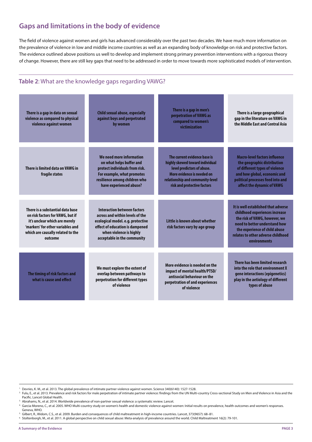## **Gaps and limitations in the body of evidence**

The field of violence against women and girls has advanced considerably over the past two decades. We have much more information on the prevalence of violence in low and middle income countries as well as an expanding body of knowledge on risk and protective factors. The evidence outlined above positions us well to develop and implement strong primary prevention interventions with a rigorous theory of change. However, there are still key gaps that need to be addressed in order to move towards more sophisticated models of intervention.

### **Table 2**: What are the knowledge gaps regarding VAWG?

| There is a gap in data on sexual<br>violence as compared to physical<br>violence against women                                                                                             | <b>Child sexual abuse, especially</b><br>against boys and perpetrated<br>by women                                                                                                                       | There is a gap in men's<br>perpetration of VAWG as<br>compared to women's<br>victimization                                                                                                     | There is a large geographical<br>gap in the literature on VAWG in<br>the Middle East and Central Asia                                                                                                                          |
|--------------------------------------------------------------------------------------------------------------------------------------------------------------------------------------------|---------------------------------------------------------------------------------------------------------------------------------------------------------------------------------------------------------|------------------------------------------------------------------------------------------------------------------------------------------------------------------------------------------------|--------------------------------------------------------------------------------------------------------------------------------------------------------------------------------------------------------------------------------|
| There is limited data on VAWG in<br>fragile states                                                                                                                                         | We need more information<br>on what helps buffer and<br>protect individuals from risk.<br>For example, what promotes<br>resilience among children who<br>have experienced abuse?                        | The current evidence base is<br>highly skewed toward individual<br>level predictors of abuse.<br>More evidence is needed on<br>relationship and community-level<br>risk and protective factors | <b>Macro-level factors influence</b><br>the geographic distribution<br>of different types of violence<br>and how global, economic and<br>political processes feed into and<br>affect the dynamic of VAWG                       |
| There is a substantial data base<br>on risk factors for VAWG, but if<br>it's unclear which are merely<br>'markers' for other variables and<br>which are causally related to the<br>outcome | <b>Interaction between factors</b><br>across and within levels of the<br>ecological model. e.g. protective<br>effect of education is dampened<br>when violence is highly<br>acceptable in the community | Little is known about whether<br>risk factors vary by age group                                                                                                                                | It is well established that adverse<br>childhood experiences increase<br>the risk of VAWG, however, we<br>need to better understand how<br>the experience of child abuse<br>relates to other adverse childhood<br>environments |
| The timing of risk factors and<br>what is cause and effect                                                                                                                                 | We must explore the extent of<br>overlap between pathways to<br>perpetration for different types<br>of violence                                                                                         | More evidence is needed on the<br>impact of mental health/PTSD/<br>antisocial behaviour on the<br>perpetration of and experiences<br>of violence                                               | There has been limited research<br>into the role that environment X<br>gene interactions (epigenetics)<br>play in the aetiology of different<br>types of abuse                                                                 |

<sup>1.</sup> Devries, K. M., et al. 2013. The global prevalence of intimate partner violence against women. Science 340(6140): 1527-1528.

<sup>2</sup> Fulu, E., et al. 2013. Prevalence and risk factors for male perpetration of intimate partner violence: findings from the UN Multi-country Cross-sectional Study on Men and Violence in Asia and the Pacific. Lancet Global Health.

3. Abrahams, N., et al. 2014. Worldwide prevalence of non-partner sexual violence: a systematic review. Lancet.

4. Garcia-Moreno, C., et al. 2005. WHO Multi-country study on women's health and domestic violence against women: Initial results on prevalence, health outcomes and women's responses. Geneva, WHO.

5. Gilbert, R., Widom, C.S., et al. 2009. Burden and consequences of child maltreatment in high-income countries. Lancet, 373(9657): 68–81.

6. Stoltenborgh, M., et al. 2011. A global perspective on child sexual abuse: Meta-analysis of prevalence around the world. Child Maltreatment 16(2): 79-101.